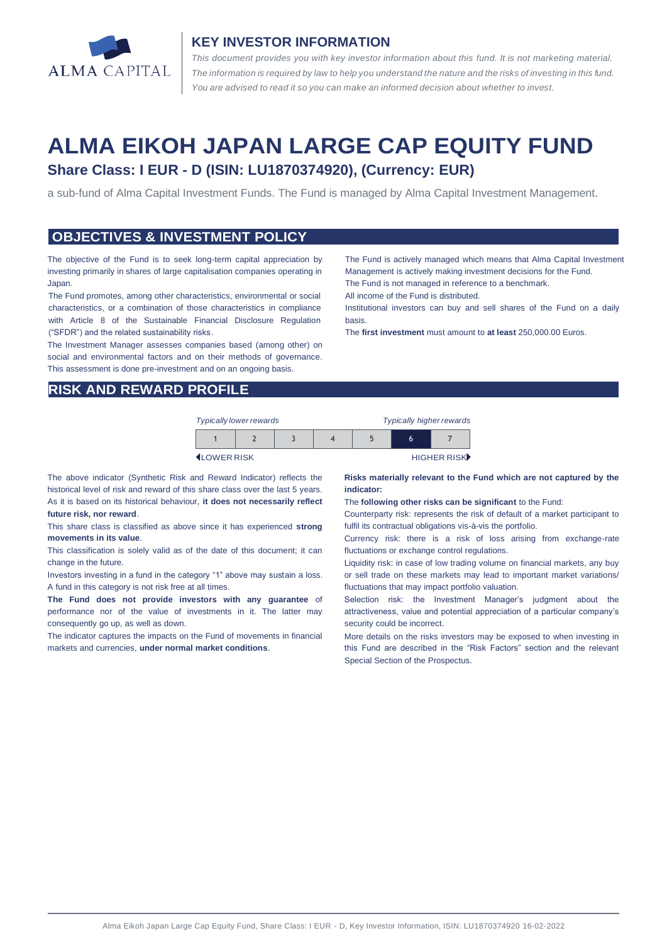

#### **KEY INVESTOR INFORMATION**

*This document provides you with key investor information about this fund. It is not marketing material.*  The information is required by law to help you understand the nature and the risks of investing in this fund. *You are advised to read it so you can make an informed decision about whether to invest.*

# **ALMA EIKOH JAPAN LARGE CAP EQUITY FUND Share Class: I EUR - D (ISIN: LU1870374920), (Currency: EUR)**

a sub-fund of Alma Capital Investment Funds. The Fund is managed by Alma Capital Investment Management.

#### **OBJECTIVES & INVESTMENT POLICY**

The objective of the Fund is to seek long-term capital appreciation by investing primarily in shares of large capitalisation companies operating in Japan.

The Fund promotes, among other characteristics, environmental or social characteristics, or a combination of those characteristics in compliance with Article 8 of the Sustainable Financial Disclosure Regulation ("SFDR") and the related sustainability risks.

The Investment Manager assesses companies based (among other) on social and environmental factors and on their methods of governance. This assessment is done pre-investment and on an ongoing basis.

Management is actively making investment decisions for the Fund. The Fund is not managed in reference to a benchmark. All income of the Fund is distributed.

The Fund is actively managed which means that Alma Capital Investment

Institutional investors can buy and sell shares of the Fund on a daily basis.

The **first investment** must amount to **at least** 250,000.00 Euros.

#### **RISK AND REWARD PROFILE**

| <b>Typically lower rewards</b> |  | <b>Typically higher rewards</b> |  |   |             |
|--------------------------------|--|---------------------------------|--|---|-------------|
|                                |  |                                 |  | h |             |
| <b>ILOWER RISK</b>             |  |                                 |  |   | HIGHER RISK |

The above indicator (Synthetic Risk and Reward Indicator) reflects the historical level of risk and reward of this share class over the last 5 years. As it is based on its historical behaviour, **it does not necessarily reflect future risk, nor reward**.

This share class is classified as above since it has experienced **strong movements in its value**.

This classification is solely valid as of the date of this document; it can change in the future.

Investors investing in a fund in the category "1" above may sustain a loss. A fund in this category is not risk free at all times.

**The Fund does not provide investors with any guarantee** of performance nor of the value of investments in it. The latter may consequently go up, as well as down.

The indicator captures the impacts on the Fund of movements in financial markets and currencies, **under normal market conditions**.

**Risks materially relevant to the Fund which are not captured by the indicator:** 

The **following other risks can be significant** to the Fund:

Counterparty risk: represents the risk of default of a market participant to fulfil its contractual obligations vis-à-vis the portfolio.

Currency risk: there is a risk of loss arising from exchange-rate fluctuations or exchange control regulations.

Liquidity risk: in case of low trading volume on financial markets, any buy or sell trade on these markets may lead to important market variations/ fluctuations that may impact portfolio valuation.

Selection risk: the Investment Manager's judgment about the attractiveness, value and potential appreciation of a particular company's security could be incorrect.

More details on the risks investors may be exposed to when investing in this Fund are described in the "Risk Factors" section and the relevant Special Section of the Prospectus.